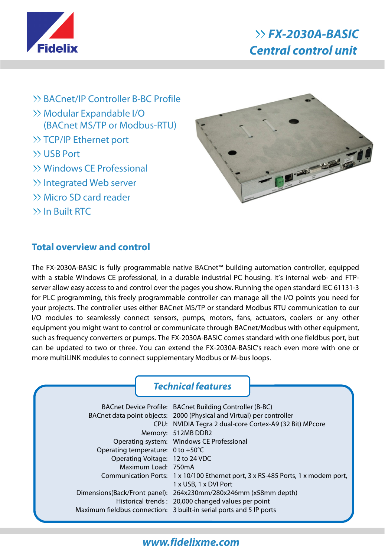

- BACnet/IP Controller B-BC Profile
- Modular Expandable I/O (BACnet MS/TP or Modbus-RTU)
- >> TCP/IP Ethernet port
- USB Port
- Windows CE Professional
- Integrated Web server
- Micro SD card reader
- In Built RTC



## **Total overview and control**

The FX-2030A-BASIC is fully programmable native BACnet™ building automation controller, equipped with a stable Windows CE professional, in a durable industrial PC housing. It's internal web- and FTPserver allow easy access to and control over the pages you show. Running the open standard IEC 61131-3 for PLC programming, this freely programmable controller can manage all the I/O points you need for your projects. The controller uses either BACnet MS/TP or standard Modbus RTU communication to our I/O modules to seamlessly connect sensors, pumps, motors, fans, actuators, coolers or any other equipment you might want to control or communicate through BACnet/Modbus with other equipment, such as frequency converters or pumps. The FX-2030A-BASIC comes standard with one fieldbus port, but can be updated to two or three. You can extend the FX-2030A-BASIC's reach even more with one or more multiLINK modules to connect supplementary Modbus or M-bus loops.

|                                   | <b>Technical features</b>                                                        |
|-----------------------------------|----------------------------------------------------------------------------------|
|                                   | BACnet Device Profile: BACnet Building Controller (B-BC)                         |
|                                   | BACnet data point objects: 2000 (Physical and Virtual) per controller            |
|                                   | CPU: NVIDIA Tegra 2 dual-core Cortex-A9 (32 Bit) MPcore                          |
|                                   | Memory: 512MB DDR2                                                               |
|                                   | Operating system: Windows CE Professional                                        |
| Operating temperature: 0 to +50°C |                                                                                  |
| Operating Voltage: 12 to 24 VDC   |                                                                                  |
| Maximum Load: 750mA               |                                                                                  |
|                                   | Communication Ports: 1 x 10/100 Ethernet port, 3 x RS-485 Ports, 1 x modem port, |
|                                   | 1 x USB, 1 x DVI Port                                                            |
|                                   | Dimensions(Back/Front panel): 264x230mm/280x246mm (x58mm depth)                  |
|                                   | Historical trends: 20,000 changed values per point                               |
|                                   | Maximum fieldbus connection: 3 built-in serial ports and 5 IP ports              |

## **www.fidelixme.com**